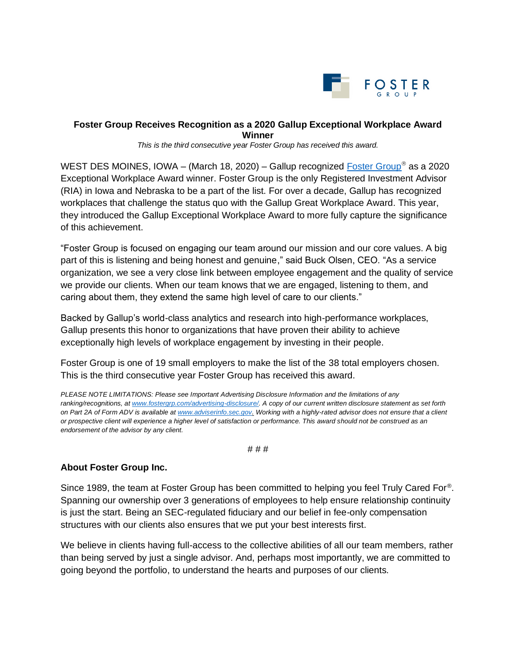

## **Foster Group Receives Recognition as a 2020 Gallup Exceptional Workplace Award Winner**

*This is the third consecutive year Foster Group has received this award.* 

WEST DES MOINES, IOWA – (March 18, 2020) – Gallup recognized [Foster Group](http://www.fostergrp.com/)<sup>®</sup> as a 2020 Exceptional Workplace Award winner. Foster Group is the only Registered Investment Advisor (RIA) in Iowa and Nebraska to be a part of the list. For over a decade, Gallup has recognized workplaces that challenge the status quo with the Gallup Great Workplace Award. This year, they introduced the Gallup Exceptional Workplace Award to more fully capture the significance of this achievement.

"Foster Group is focused on engaging our team around our mission and our core values. A big part of this is listening and being honest and genuine," said Buck Olsen, CEO. "As a service organization, we see a very close link between employee engagement and the quality of service we provide our clients. When our team knows that we are engaged, listening to them, and caring about them, they extend the same high level of care to our clients."

Backed by Gallup's world-class analytics and research into high-performance workplaces, Gallup presents this honor to organizations that have proven their ability to achieve exceptionally high levels of workplace engagement by investing in their people.

Foster Group is one of 19 small employers to make the list of the 38 total employers chosen. This is the third consecutive year Foster Group has received this award.

*PLEASE NOTE LIMITATIONS: Please see Important Advertising Disclosure Information and the limitations of any ranking/recognitions, at [www.fostergrp.com/advertising-disclosure/.](http://www.fostergrp.com/advertising-disclosure/) A copy of our current written disclosure statement as set forth on Part 2A of Form ADV is available at [www.adviserinfo.sec.gov.](http://www.adviserinfo.sec.gov/) Working with a highly-rated advisor does not ensure that a client or prospective client will experience a higher level of satisfaction or performance. This award should not be construed as an endorsement of the advisor by any client.*

## # # #

## **About Foster Group Inc.**

Since 1989, the team at Foster Group has been committed to helping you feel Truly Cared For®. Spanning our ownership over 3 generations of employees to help ensure relationship continuity is just the start. Being an SEC-regulated fiduciary and our belief in fee-only compensation structures with our clients also ensures that we put your best interests first.

We believe in clients having full-access to the collective abilities of all our team members, rather than being served by just a single advisor. And, perhaps most importantly, we are committed to going beyond the portfolio, to understand the hearts and purposes of our clients.